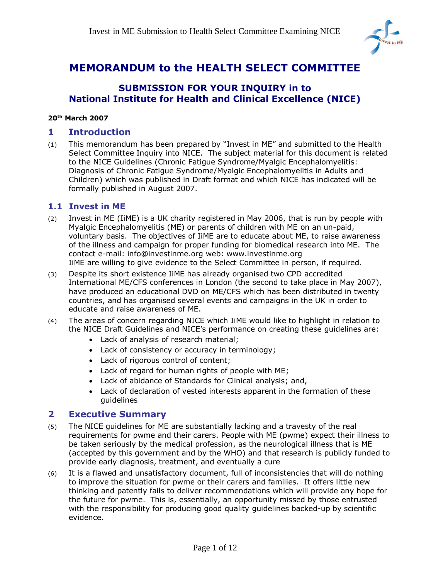

# **MEMORANDUM to the HEALTH SELECT COMMITTEE**

# **SUBMISSION FOR YOUR INQUIRY in to National Institute for Health and Clinical Excellence (NICE)**

#### **20th March 2007**

### **1 Introduction**

(1) This memorandum has been prepared by "Invest in ME" and submitted to the Health Select Committee Inquiry into NICE. The subject material for this document is related to the NICE Guidelines (Chronic Fatigue Syndrome/Myalgic Encephalomyelitis: Diagnosis of Chronic Fatigue Syndrome/Myalgic Encephalomyelitis in Adults and Children) which was published in Draft format and which NICE has indicated will be formally published in August 2007.

### **1.1 Invest in ME**

- (2) Invest in ME (IiME) is a UK charity registered in May 2006, that is run by people with Myalgic Encephalomyelitis (ME) or parents of children with ME on an un-paid, voluntary basis. The objectives of IiME are to educate about ME, to raise awareness of the illness and campaign for proper funding for biomedical research into ME. The contact e-mail: info@investinme.org web: www.investinme.org IiME are willing to give evidence to the Select Committee in person, if required.
- (3) Despite its short existence IiME has already organised two CPD accredited International ME/CFS conferences in London (the second to take place in May 2007), have produced an educational DVD on ME/CFS which has been distributed in twenty countries, and has organised several events and campaigns in the UK in order to educate and raise awareness of ME.
- (4) The areas of concern regarding NICE which IiME would like to highlight in relation to the NICE Draft Guidelines and NICE's performance on creating these guidelines are:
	- Lack of analysis of research material;
	- Lack of consistency or accuracy in terminology;
	- Lack of rigorous control of content;
	- Lack of regard for human rights of people with ME;
	- Lack of abidance of Standards for Clinical analysis; and,
	- Lack of declaration of vested interests apparent in the formation of these guidelines

### **2 Executive Summary**

- (5) The NICE guidelines for ME are substantially lacking and a travesty of the real requirements for pwme and their carers. People with ME (pwme) expect their illness to be taken seriously by the medical profession, as the neurological illness that is ME (accepted by this government and by the WHO) and that research is publicly funded to provide early diagnosis, treatment, and eventually a cure
- (6) It is a flawed and unsatisfactory document, full of inconsistencies that will do nothing to improve the situation for pwme or their carers and families. It offers little new thinking and patently fails to deliver recommendations which will provide any hope for the future for pwme. This is, essentially, an opportunity missed by those entrusted with the responsibility for producing good quality guidelines backed-up by scientific evidence.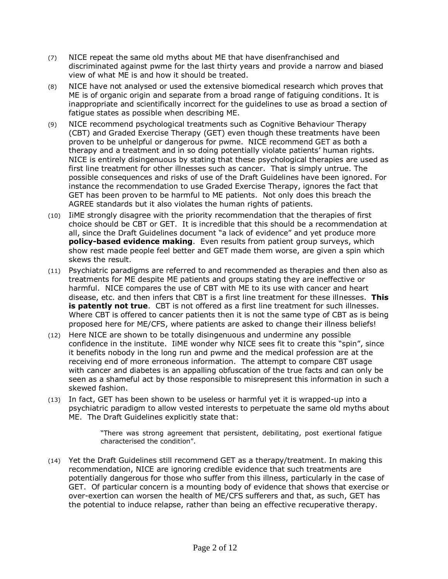- (7) NICE repeat the same old myths about ME that have disenfranchised and discriminated against pwme for the last thirty years and provide a narrow and biased view of what ME is and how it should be treated.
- (8) NICE have not analysed or used the extensive biomedical research which proves that ME is of organic origin and separate from a broad range of fatiguing conditions. It is inappropriate and scientifically incorrect for the guidelines to use as broad a section of fatigue states as possible when describing ME.
- (9) NICE recommend psychological treatments such as Cognitive Behaviour Therapy (CBT) and Graded Exercise Therapy (GET) even though these treatments have been proven to be unhelpful or dangerous for pwme. NICE recommend GET as both a therapy and a treatment and in so doing potentially violate patients' human rights. NICE is entirely disingenuous by stating that these psychological therapies are used as first line treatment for other illnesses such as cancer. That is simply untrue. The possible consequences and risks of use of the Draft Guidelines have been ignored. For instance the recommendation to use Graded Exercise Therapy, ignores the fact that GET has been proven to be harmful to ME patients. Not only does this breach the AGREE standards but it also violates the human rights of patients.
- (10) IiME strongly disagree with the priority recommendation that the therapies of first choice should be CBT or GET. It is incredible that this should be a recommendation at all, since the Draft Guidelines document "a lack of evidence" and yet produce more **policy-based evidence making**. Even results from patient group surveys, which show rest made people feel better and GET made them worse, are given a spin which skews the result.
- (11) Psychiatric paradigms are referred to and recommended as therapies and then also as treatments for ME despite ME patients and groups stating they are ineffective or harmful. NICE compares the use of CBT with ME to its use with cancer and heart disease, etc. and then infers that CBT is a first line treatment for these illnesses. **This is patently not true**. CBT is not offered as a first line treatment for such illnesses. Where CBT is offered to cancer patients then it is not the same type of CBT as is being proposed here for ME/CFS, where patients are asked to change their illness beliefs!
- (12) Here NICE are shown to be totally disingenuous and undermine any possible confidence in the institute. IiME wonder why NICE sees fit to create this "spin", since it benefits nobody in the long run and pwme and the medical profession are at the receiving end of more erroneous information. The attempt to compare CBT usage with cancer and diabetes is an appalling obfuscation of the true facts and can only be seen as a shameful act by those responsible to misrepresent this information in such a skewed fashion.
- (13) In fact, GET has been shown to be useless or harmful yet it is wrapped-up into a psychiatric paradigm to allow vested interests to perpetuate the same old myths about ME. The Draft Guidelines explicitly state that:

"There was strong agreement that persistent, debilitating, post exertional fatigue characterised the condition".

(14) Yet the Draft Guidelines still recommend GET as a therapy/treatment. In making this recommendation, NICE are ignoring credible evidence that such treatments are potentially dangerous for those who suffer from this illness, particularly in the case of GET. Of particular concern is a mounting body of evidence that shows that exercise or over-exertion can worsen the health of ME/CFS sufferers and that, as such, GET has the potential to induce relapse, rather than being an effective recuperative therapy.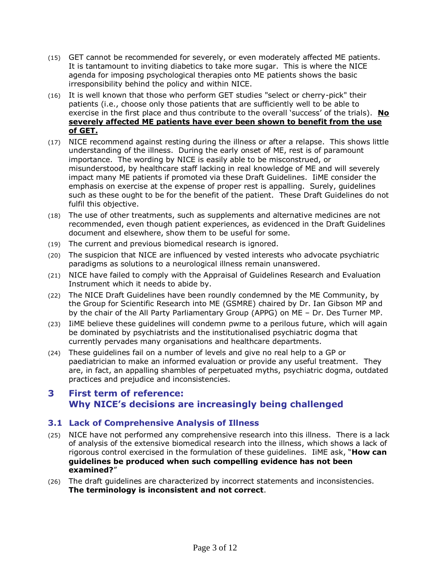- (15) GET cannot be recommended for severely, or even moderately affected ME patients. It is tantamount to inviting diabetics to take more sugar. This is where the NICE agenda for imposing psychological therapies onto ME patients shows the basic irresponsibility behind the policy and within NICE.
- (16) It is well known that those who perform GET studies "select or cherry-pick" their patients (i.e., choose only those patients that are sufficiently well to be able to exercise in the first place and thus contribute to the overall 'success' of the trials). **No severely affected ME patients have ever been shown to benefit from the use of GET.**
- (17) NICE recommend against resting during the illness or after a relapse. This shows little understanding of the illness. During the early onset of ME, rest is of paramount importance. The wording by NICE is easily able to be misconstrued, or misunderstood, by healthcare staff lacking in real knowledge of ME and will severely impact many ME patients if promoted via these Draft Guidelines. IiME consider the emphasis on exercise at the expense of proper rest is appalling. Surely, guidelines such as these ought to be for the benefit of the patient. These Draft Guidelines do not fulfil this objective.
- (18) The use of other treatments, such as supplements and alternative medicines are not recommended, even though patient experiences, as evidenced in the Draft Guidelines document and elsewhere, show them to be useful for some.
- (19) The current and previous biomedical research is ignored.
- (20) The suspicion that NICE are influenced by vested interests who advocate psychiatric paradigms as solutions to a neurological illness remain unanswered.
- (21) NICE have failed to comply with the Appraisal of Guidelines Research and Evaluation Instrument which it needs to abide by.
- (22) The NICE Draft Guidelines have been roundly condemned by the ME Community, by the Group for Scientific Research into ME (GSMRE) chaired by Dr. Ian Gibson MP and by the chair of the All Party Parliamentary Group (APPG) on ME – Dr. Des Turner MP.
- (23) IiME believe these guidelines will condemn pwme to a perilous future, which will again be dominated by psychiatrists and the institutionalised psychiatric dogma that currently pervades many organisations and healthcare departments.
- (24) These guidelines fail on a number of levels and give no real help to a GP or paediatrician to make an informed evaluation or provide any useful treatment. They are, in fact, an appalling shambles of perpetuated myths, psychiatric dogma, outdated practices and prejudice and inconsistencies.

# **3 First term of reference: Why NICE's decisions are increasingly being challenged**

## **3.1 Lack of Comprehensive Analysis of Illness**

- (25) NICE have not performed any comprehensive research into this illness. There is a lack of analysis of the extensive biomedical research into the illness, which shows a lack of rigorous control exercised in the formulation of these guidelines. IiME ask, "**How can guidelines be produced when such compelling evidence has not been examined?**"
- (26) The draft guidelines are characterized by incorrect statements and inconsistencies. **The terminology is inconsistent and not correct**.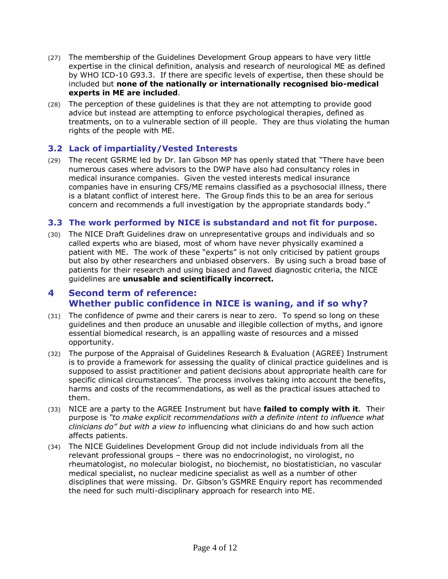- (27) The membership of the Guidelines Development Group appears to have very little expertise in the clinical definition, analysis and research of neurological ME as defined by WHO ICD-10 G93.3. If there are specific levels of expertise, then these should be included but **none of the nationally or internationally recognised bio-medical experts in ME are included**.
- (28) The perception of these guidelines is that they are not attempting to provide good advice but instead are attempting to enforce psychological therapies, defined as treatments, on to a vulnerable section of ill people. They are thus violating the human rights of the people with ME.

# **3.2 Lack of impartiality/Vested Interests**

(29) The recent GSRME led by Dr. Ian Gibson MP has openly stated that "There have been numerous cases where advisors to the DWP have also had consultancy roles in medical insurance companies. Given the vested interests medical insurance companies have in ensuring CFS/ME remains classified as a psychosocial illness, there is a blatant conflict of interest here. The Group finds this to be an area for serious concern and recommends a full investigation by the appropriate standards body."

## **3.3 The work performed by NICE is substandard and not fit for purpose.**

(30) The NICE Draft Guidelines draw on unrepresentative groups and individuals and so called experts who are biased, most of whom have never physically examined a patient with ME. The work of these "experts" is not only criticised by patient groups but also by other researchers and unbiased observers. By using such a broad base of patients for their research and using biased and flawed diagnostic criteria, the NICE guidelines are **unusable and scientifically incorrect.**

# **4 Second term of reference: Whether public confidence in NICE is waning, and if so why?**

- (31) The confidence of pwme and their carers is near to zero. To spend so long on these guidelines and then produce an unusable and illegible collection of myths, and ignore essential biomedical research, is an appalling waste of resources and a missed opportunity.
- (32) The purpose of the Appraisal of Guidelines Research & Evaluation (AGREE) Instrument is to provide a framework for assessing the quality of clinical practice guidelines and is supposed to assist practitioner and patient decisions about appropriate health care for specific clinical circumstances'. The process involves taking into account the benefits, harms and costs of the recommendations, as well as the practical issues attached to them.
- (33) NICE are a party to the AGREE Instrument but have **failed to comply with it**. Their purpose is *"to make explicit recommendations with a definite intent to influence what clinicians do" but with a view to* influencing what clinicians do and how such action affects patients.
- (34) The NICE Guidelines Development Group did not include individuals from all the relevant professional groups – there was no endocrinologist, no virologist, no rheumatologist, no molecular biologist, no biochemist, no biostatistician, no vascular medical specialist, no nuclear medicine specialist as well as a number of other disciplines that were missing. Dr. Gibson's GSMRE Enquiry report has recommended the need for such multi-disciplinary approach for research into ME.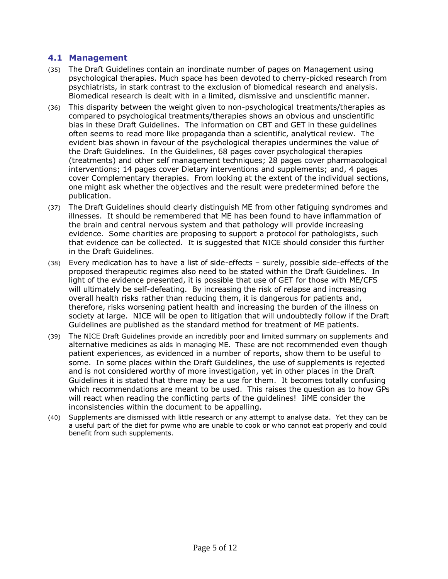### **4.1 Management**

- (35) The Draft Guidelines contain an inordinate number of pages on Management using psychological therapies. Much space has been devoted to cherry-picked research from psychiatrists, in stark contrast to the exclusion of biomedical research and analysis. Biomedical research is dealt with in a limited, dismissive and unscientific manner.
- (36) This disparity between the weight given to non-psychological treatments/therapies as compared to psychological treatments/therapies shows an obvious and unscientific bias in these Draft Guidelines. The information on CBT and GET in these guidelines often seems to read more like propaganda than a scientific, analytical review. The evident bias shown in favour of the psychological therapies undermines the value of the Draft Guidelines. In the Guidelines, 68 pages cover psychological therapies (treatments) and other self management techniques; 28 pages cover pharmacological interventions; 14 pages cover Dietary interventions and supplements; and, 4 pages cover Complementary therapies. From looking at the extent of the individual sections, one might ask whether the objectives and the result were predetermined before the publication.
- (37) The Draft Guidelines should clearly distinguish ME from other fatiguing syndromes and illnesses. It should be remembered that ME has been found to have inflammation of the brain and central nervous system and that pathology will provide increasing evidence. Some charities are proposing to support a protocol for pathologists, such that evidence can be collected. It is suggested that NICE should consider this further in the Draft Guidelines.
- (38) Every medication has to have a list of side-effects surely, possible side-effects of the proposed therapeutic regimes also need to be stated within the Draft Guidelines. In light of the evidence presented, it is possible that use of GET for those with ME/CFS will ultimately be self-defeating. By increasing the risk of relapse and increasing overall health risks rather than reducing them, it is dangerous for patients and, therefore, risks worsening patient health and increasing the burden of the illness on society at large. NICE will be open to litigation that will undoubtedly follow if the Draft Guidelines are published as the standard method for treatment of ME patients.
- (39) The NICE Draft Guidelines provide an incredibly poor and limited summary on supplements and alternative medicines as aids in managing ME. These are not recommended even though patient experiences, as evidenced in a number of reports, show them to be useful to some. In some places within the Draft Guidelines, the use of supplements is rejected and is not considered worthy of more investigation, yet in other places in the Draft Guidelines it is stated that there may be a use for them. It becomes totally confusing which recommendations are meant to be used. This raises the question as to how GPs will react when reading the conflicting parts of the guidelines! IiME consider the inconsistencies within the document to be appalling.
- (40) Supplements are dismissed with little research or any attempt to analyse data. Yet they can be a useful part of the diet for pwme who are unable to cook or who cannot eat properly and could benefit from such supplements.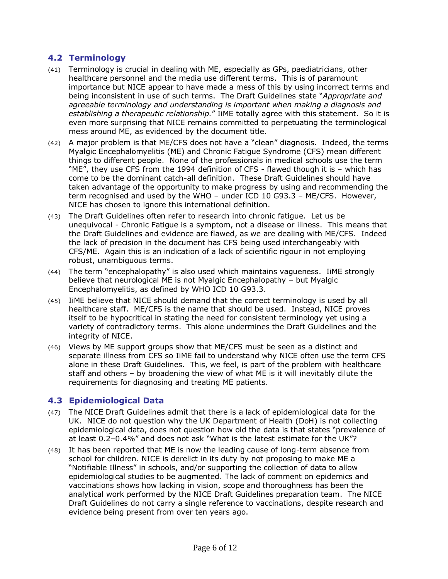# **4.2 Terminology**

- (41) Terminology is crucial in dealing with ME, especially as GPs, paediatricians, other healthcare personnel and the media use different terms. This is of paramount importance but NICE appear to have made a mess of this by using incorrect terms and being inconsistent in use of such terms. The Draft Guidelines state "*Appropriate and agreeable terminology and understanding is important when making a diagnosis and establishing a therapeutic relationship.*" IiME totally agree with this statement. So it is even more surprising that NICE remains committed to perpetuating the terminological mess around ME, as evidenced by the document title.
- (42) A major problem is that ME/CFS does not have a "clean" diagnosis. Indeed, the terms Myalgic Encephalomyelitis (ME) and Chronic Fatigue Syndrome (CFS) mean different things to different people. None of the professionals in medical schools use the term "ME", they use CFS from the 1994 definition of CFS - flawed though it is – which has come to be the dominant catch-all definition. These Draft Guidelines should have taken advantage of the opportunity to make progress by using and recommending the term recognised and used by the WHO – under ICD 10 G93.3 – ME/CFS. However, NICE has chosen to ignore this international definition.
- (43) The Draft Guidelines often refer to research into chronic fatigue. Let us be unequivocal - Chronic Fatigue is a symptom, not a disease or illness. This means that the Draft Guidelines and evidence are flawed, as we are dealing with ME/CFS. Indeed the lack of precision in the document has CFS being used interchangeably with CFS/ME. Again this is an indication of a lack of scientific rigour in not employing robust, unambiguous terms.
- (44) The term "encephalopathy" is also used which maintains vagueness. IiME strongly believe that neurological ME is not Myalgic Encephalopathy – but Myalgic Encephalomyelitis, as defined by WHO ICD 10 G93.3.
- (45) IiME believe that NICE should demand that the correct terminology is used by all healthcare staff. ME/CFS is the name that should be used. Instead, NICE proves itself to be hypocritical in stating the need for consistent terminology yet using a variety of contradictory terms. This alone undermines the Draft Guidelines and the integrity of NICE.
- (46) Views by ME support groups show that ME/CFS must be seen as a distinct and separate illness from CFS so IiME fail to understand why NICE often use the term CFS alone in these Draft Guidelines. This, we feel, is part of the problem with healthcare staff and others – by broadening the view of what ME is it will inevitably dilute the requirements for diagnosing and treating ME patients.

## **4.3 Epidemiological Data**

- (47) The NICE Draft Guidelines admit that there is a lack of epidemiological data for the UK. NICE do not question why the UK Department of Health (DoH) is not collecting epidemiological data, does not question how old the data is that states "prevalence of at least 0.2–0.4%" and does not ask "What is the latest estimate for the UK"?
- (48) It has been reported that ME is now the leading cause of long-term absence from school for children. NICE is derelict in its duty by not proposing to make ME a "Notifiable Illness" in schools, and/or supporting the collection of data to allow epidemiological studies to be augmented. The lack of comment on epidemics and vaccinations shows how lacking in vision, scope and thoroughness has been the analytical work performed by the NICE Draft Guidelines preparation team. The NICE Draft Guidelines do not carry a single reference to vaccinations, despite research and evidence being present from over ten years ago.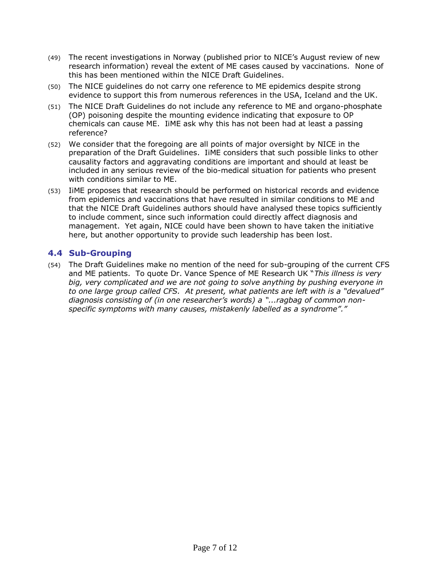- (49) The recent investigations in Norway (published prior to NICE's August review of new research information) reveal the extent of ME cases caused by vaccinations. None of this has been mentioned within the NICE Draft Guidelines.
- (50) The NICE guidelines do not carry one reference to ME epidemics despite strong evidence to support this from numerous references in the USA, Iceland and the UK.
- (51) The NICE Draft Guidelines do not include any reference to ME and organo-phosphate (OP) poisoning despite the mounting evidence indicating that exposure to OP chemicals can cause ME. IiME ask why this has not been had at least a passing reference?
- (52) We consider that the foregoing are all points of major oversight by NICE in the preparation of the Draft Guidelines. IiME considers that such possible links to other causality factors and aggravating conditions are important and should at least be included in any serious review of the bio-medical situation for patients who present with conditions similar to ME.
- (53) IiME proposes that research should be performed on historical records and evidence from epidemics and vaccinations that have resulted in similar conditions to ME and that the NICE Draft Guidelines authors should have analysed these topics sufficiently to include comment, since such information could directly affect diagnosis and management. Yet again, NICE could have been shown to have taken the initiative here, but another opportunity to provide such leadership has been lost.

## **4.4 Sub-Grouping**

(54) The Draft Guidelines make no mention of the need for sub-grouping of the current CFS and ME patients. To quote Dr. Vance Spence of ME Research UK "*This illness is very big, very complicated and we are not going to solve anything by pushing everyone in to one large group called CFS. At present, what patients are left with is a "devalued" diagnosis consisting of (in one researcher's words) a "...ragbag of common nonspecific symptoms with many causes, mistakenly labelled as a syndrome"."*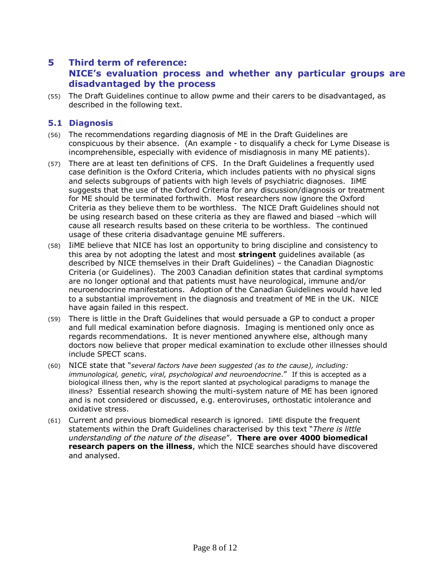### **5 Third term of reference: NICE's evaluation process and whether any particular groups are disadvantaged by the process**

(55) The Draft Guidelines continue to allow pwme and their carers to be disadvantaged, as described in the following text.

### **5.1 Diagnosis**

- (56) The recommendations regarding diagnosis of ME in the Draft Guidelines are conspicuous by their absence. (An example - to disqualify a check for Lyme Disease is incomprehensible, especially with evidence of misdiagnosis in many ME patients).
- (57) There are at least ten definitions of CFS. In the Draft Guidelines a frequently used case definition is the Oxford Criteria, which includes patients with no physical signs and selects subgroups of patients with high levels of psychiatric diagnoses. IiME suggests that the use of the Oxford Criteria for any discussion/diagnosis or treatment for ME should be terminated forthwith. Most researchers now ignore the Oxford Criteria as they believe them to be worthless. The NICE Draft Guidelines should not be using research based on these criteria as they are flawed and biased –which will cause all research results based on these criteria to be worthless. The continued usage of these criteria disadvantage genuine ME sufferers.
- (58) IiME believe that NICE has lost an opportunity to bring discipline and consistency to this area by not adopting the latest and most **stringent** guidelines available (as described by NICE themselves in their Draft Guidelines) – the Canadian Diagnostic Criteria (or Guidelines). The 2003 Canadian definition states that cardinal symptoms are no longer optional and that patients must have neurological, immune and/or neuroendocrine manifestations. Adoption of the Canadian Guidelines would have led to a substantial improvement in the diagnosis and treatment of ME in the UK. NICE have again failed in this respect.
- (59) There is little in the Draft Guidelines that would persuade a GP to conduct a proper and full medical examination before diagnosis. Imaging is mentioned only once as regards recommendations. It is never mentioned anywhere else, although many doctors now believe that proper medical examination to exclude other illnesses should include SPECT scans.
- (60) NICE state that "*several factors have been suggested (as to the cause), including: immunological, genetic, viral, psychological and neuroendocrine*." If this is accepted as a biological illness then, why is the report slanted at psychological paradigms to manage the illness? Essential research showing the multi-system nature of ME has been ignored and is not considered or discussed, e.g. enteroviruses, orthostatic intolerance and oxidative stress.
- (61) Current and previous biomedical research is ignored. IiME dispute the frequent statements within the Draft Guidelines characterised by this text "*There is little understanding of the nature of the disease*". **There are over 4000 biomedical research papers on the illness**, which the NICE searches should have discovered and analysed.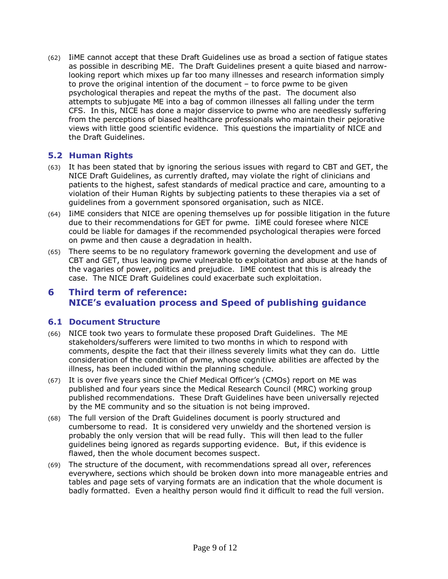(62) IiME cannot accept that these Draft Guidelines use as broad a section of fatigue states as possible in describing ME. The Draft Guidelines present a quite biased and narrowlooking report which mixes up far too many illnesses and research information simply to prove the original intention of the document – to force pwme to be given psychological therapies and repeat the myths of the past. The document also attempts to subjugate ME into a bag of common illnesses all falling under the term CFS. In this, NICE has done a major disservice to pwme who are needlessly suffering from the perceptions of biased healthcare professionals who maintain their pejorative views with little good scientific evidence. This questions the impartiality of NICE and the Draft Guidelines.

### **5.2 Human Rights**

- (63) It has been stated that by ignoring the serious issues with regard to CBT and GET, the NICE Draft Guidelines, as currently drafted, may violate the right of clinicians and patients to the highest, safest standards of medical practice and care, amounting to a violation of their Human Rights by subjecting patients to these therapies via a set of guidelines from a government sponsored organisation, such as NICE.
- (64) IiME considers that NICE are opening themselves up for possible litigation in the future due to their recommendations for GET for pwme. IiME could foresee where NICE could be liable for damages if the recommended psychological therapies were forced on pwme and then cause a degradation in health.
- (65) There seems to be no regulatory framework governing the development and use of CBT and GET, thus leaving pwme vulnerable to exploitation and abuse at the hands of the vagaries of power, politics and prejudice. IiME contest that this is already the case. The NICE Draft Guidelines could exacerbate such exploitation.

# **6 Third term of reference: NICE's evaluation process and Speed of publishing guidance**

### **6.1 Document Structure**

- (66) NICE took two years to formulate these proposed Draft Guidelines. The ME stakeholders/sufferers were limited to two months in which to respond with comments, despite the fact that their illness severely limits what they can do. Little consideration of the condition of pwme, whose cognitive abilities are affected by the illness, has been included within the planning schedule.
- (67) It is over five years since the Chief Medical Officer's (CMOs) report on ME was published and four years since the Medical Research Council (MRC) working group published recommendations. These Draft Guidelines have been universally rejected by the ME community and so the situation is not being improved.
- (68) The full version of the Draft Guidelines document is poorly structured and cumbersome to read. It is considered very unwieldy and the shortened version is probably the only version that will be read fully. This will then lead to the fuller guidelines being ignored as regards supporting evidence. But, if this evidence is flawed, then the whole document becomes suspect.
- (69) The structure of the document, with recommendations spread all over, references everywhere, sections which should be broken down into more manageable entries and tables and page sets of varying formats are an indication that the whole document is badly formatted. Even a healthy person would find it difficult to read the full version.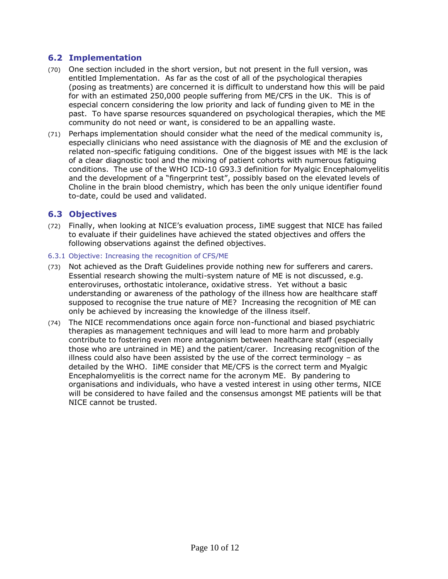### **6.2 Implementation**

- (70) One section included in the short version, but not present in the full version, was entitled Implementation. As far as the cost of all of the psychological therapies (posing as treatments) are concerned it is difficult to understand how this will be paid for with an estimated 250,000 people suffering from ME/CFS in the UK. This is of especial concern considering the low priority and lack of funding given to ME in the past. To have sparse resources squandered on psychological therapies, which the ME community do not need or want, is considered to be an appalling waste.
- (71) Perhaps implementation should consider what the need of the medical community is, especially clinicians who need assistance with the diagnosis of ME and the exclusion of related non-specific fatiguing conditions. One of the biggest issues with ME is the lack of a clear diagnostic tool and the mixing of patient cohorts with numerous fatiguing conditions. The use of the WHO ICD-10 G93.3 definition for Myalgic Encephalomyelitis and the development of a "fingerprint test", possibly based on the elevated levels of Choline in the brain blood chemistry, which has been the only unique identifier found to-date, could be used and validated.

#### **6.3 Objectives**

- (72) Finally, when looking at NICE's evaluation process, IiME suggest that NICE has failed to evaluate if their guidelines have achieved the stated objectives and offers the following observations against the defined objectives.
- 6.3.1 Objective: Increasing the recognition of CFS/ME
- (73) Not achieved as the Draft Guidelines provide nothing new for sufferers and carers. Essential research showing the multi-system nature of ME is not discussed, e.g. enteroviruses, orthostatic intolerance, oxidative stress. Yet without a basic understanding or awareness of the pathology of the illness how are healthcare staff supposed to recognise the true nature of ME? Increasing the recognition of ME can only be achieved by increasing the knowledge of the illness itself.
- (74) The NICE recommendations once again force non-functional and biased psychiatric therapies as management techniques and will lead to more harm and probably contribute to fostering even more antagonism between healthcare staff (especially those who are untrained in ME) and the patient/carer. Increasing recognition of the illness could also have been assisted by the use of the correct terminology  $-$  as detailed by the WHO. IiME consider that ME/CFS is the correct term and Myalgic Encephalomyelitis is the correct name for the acronym ME. By pandering to organisations and individuals, who have a vested interest in using other terms, NICE will be considered to have failed and the consensus amongst ME patients will be that NICE cannot be trusted.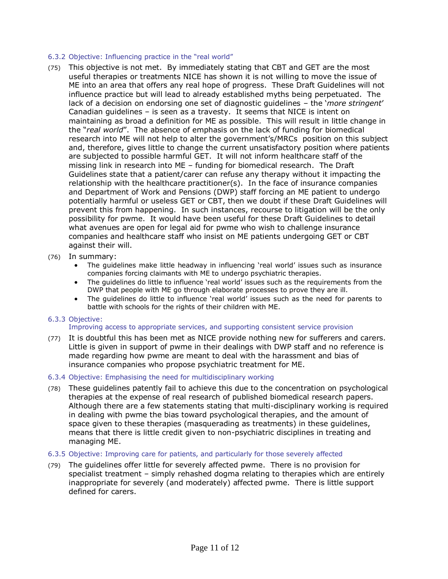#### 6.3.2 Objective: Influencing practice in the "real world"

(75) This objective is not met. By immediately stating that CBT and GET are the most useful therapies or treatments NICE has shown it is not willing to move the issue of ME into an area that offers any real hope of progress. These Draft Guidelines will not influence practice but will lead to already established myths being perpetuated. The lack of a decision on endorsing one set of diagnostic guidelines – the '*more stringent*' Canadian guidelines – is seen as a travesty. It seems that NICE is intent on maintaining as broad a definition for ME as possible. This will result in little change in the "*real world*". The absence of emphasis on the lack of funding for biomedical research into ME will not help to alter the government's/MRCs position on this subject and, therefore, gives little to change the current unsatisfactory position where patients are subjected to possible harmful GET. It will not inform healthcare staff of the missing link in research into ME – funding for biomedical research. The Draft Guidelines state that a patient/carer can refuse any therapy without it impacting the relationship with the healthcare practitioner(s). In the face of insurance companies and Department of Work and Pensions (DWP) staff forcing an ME patient to undergo potentially harmful or useless GET or CBT, then we doubt if these Draft Guidelines will prevent this from happening. In such instances, recourse to litigation will be the only possibility for pwme. It would have been useful for these Draft Guidelines to detail what avenues are open for legal aid for pwme who wish to challenge insurance companies and healthcare staff who insist on ME patients undergoing GET or CBT against their will.

#### (76) In summary:

- The guidelines make little headway in influencing 'real world' issues such as insurance companies forcing claimants with ME to undergo psychiatric therapies.
- The quidelines do little to influence 'real world' issues such as the requirements from the DWP that people with ME go through elaborate processes to prove they are ill.
- The guidelines do little to influence 'real world' issues such as the need for parents to battle with schools for the rights of their children with ME.

#### 6.3.3 Objective:

#### Improving access to appropriate services, and supporting consistent service provision

(77) It is doubtful this has been met as NICE provide nothing new for sufferers and carers. Little is given in support of pwme in their dealings with DWP staff and no reference is made regarding how pwme are meant to deal with the harassment and bias of insurance companies who propose psychiatric treatment for ME.

#### 6.3.4 Objective: Emphasising the need for multidisciplinary working

(78) These guidelines patently fail to achieve this due to the concentration on psychological therapies at the expense of real research of published biomedical research papers. Although there are a few statements stating that multi-disciplinary working is required in dealing with pwme the bias toward psychological therapies, and the amount of space given to these therapies (masquerading as treatments) in these guidelines, means that there is little credit given to non-psychiatric disciplines in treating and managing ME.

#### 6.3.5 Objective: Improving care for patients, and particularly for those severely affected

(79) The guidelines offer little for severely affected pwme. There is no provision for specialist treatment – simply rehashed dogma relating to therapies which are entirely inappropriate for severely (and moderately) affected pwme. There is little support defined for carers.